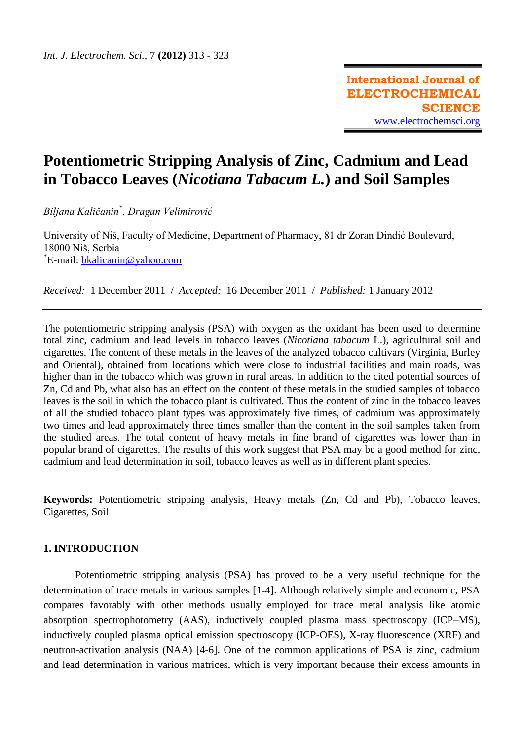# **Potentiometric Stripping Analysis of Zinc, Cadmium and Lead in Tobacco Leaves (***Nicotiana Tabacum L.***) and Soil Samples**

*Biljana Kaličanin\* , Dragan Velimirović*

University of Niš, Faculty of Medicine, Department of Pharmacy, 81 dr Zoran Đinđić Boulevard, 18000 Niš, Serbia \*E-mail: <u>bkalicanin@yahoo.com</u>

*Received:* 1 December 2011 / *Accepted:* 16 December 2011 / *Published:* 1 January 2012

The potentiometric stripping analysis (PSA) with oxygen as the oxidant has been used to determine total zinc, cadmium and lead levels in tobacco leaves (*Nicotiana tabacum* L.), agricultural soil and cigarettes. The content of these metals in the leaves of the analyzed tobacco cultivars (Virginia, Burley and Oriental), obtained from locations which were close to industrial facilities and main roads, was higher than in the tobacco which was grown in rural areas. In addition to the cited potential sources of Zn, Cd and Pb, what also has an effect on the content of these metals in the studied samples of tobacco leaves is the soil in which the tobacco plant is cultivated. Thus the content of zinc in the tobacco leaves of all the studied tobacco plant types was approximately five times, of cadmium was approximately two times and lead approximately three times smaller than the content in the soil samples taken from the studied areas. The total content of heavy metals in fine brand of cigarettes was lower than in popular brand of cigarettes. The results of this work suggest that PSA may be a good method for zinc, cadmium and lead determination in soil, tobacco leaves as well as in different plant species.

**Keywords:** Potentiometric stripping analysis, Heavy metals (Zn, Cd and Pb), Tobacco leaves, Cigarettes, Soil

# **1. INTRODUCTION**

Potentiometric stripping analysis (PSA) has proved to be a very useful technique for the determination of trace metals in various samples [1-4]. Although relatively simple and economic, PSA compares favorably with other methods usually employed for trace metal analysis like atomic absorption spectrophotometry (AAS), inductively coupled plasma mass spectroscopy (ICP–MS), inductively coupled plasma optical emission spectroscopy (ICP-OES), X-ray fluorescence (XRF) and neutron-activation analysis (NAA) [4-6]. One of the common applications of PSA is zinc, cadmium and lead determination in various matrices, which is very important because their excess amounts in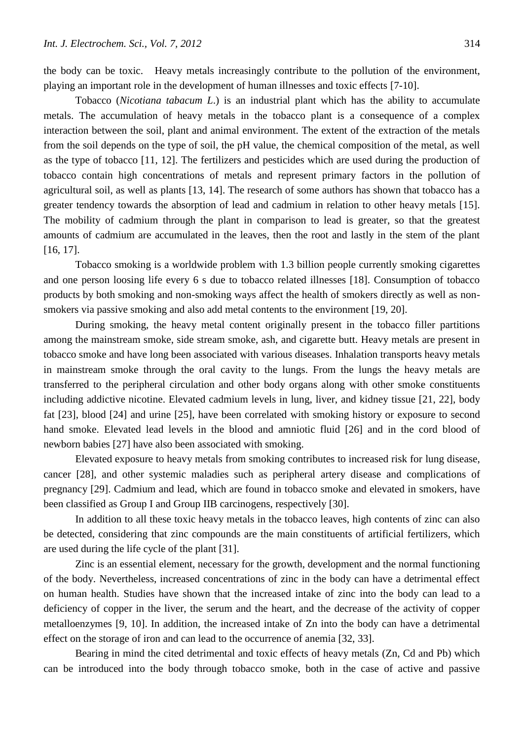the body can be toxic. Heavy metals increasingly contribute to the pollution of the environment, playing an important role in the development of human illnesses and toxic effects [7-10].

Tobacco (*Nicotiana tabacum L*.) is an industrial plant which has the ability to accumulate metals. The accumulation of heavy metals in the tobacco plant is a consequence of a complex interaction between the soil, plant and animal environment. The extent of the extraction of the metals from the soil depends on the type of soil, the pH value, the chemical composition of the metal, as well as the type of tobacco [11, 12]. The fertilizers and pesticides which are used during the production of tobacco contain high concentrations of metals and represent primary factors in the pollution of agricultural soil, as well as plants [13, 14]. The research of some authors has shown that tobacco has a greater tendency towards the absorption of lead and cadmium in relation to other heavy metals [15]. The mobility of cadmium through the plant in comparison to lead is greater, so that the greatest amounts of cadmium are accumulated in the leaves, then the root and lastly in the stem of the plant [16, 17].

Tobacco smoking is a worldwide problem with 1.3 billion people currently smoking cigarettes and one person loosing life every 6 s due to tobacco related illnesses [18]. Consumption of tobacco products by both smoking and non-smoking ways affect the health of smokers directly as well as nonsmokers via passive smoking and also add metal contents to the environment [19, 20].

During smoking, the heavy metal content originally present in the tobacco filler partitions among the mainstream smoke, side stream smoke, ash, and cigarette butt. Heavy metals are present in tobacco smoke and have long been associated with various diseases. Inhalation transports heavy metals in mainstream smoke through the oral cavity to the lungs. From the lungs the heavy metals are transferred to the peripheral circulation and other body organs along with other smoke constituents including addictive nicotine. Elevated cadmium levels in lung, liver, and kidney tissue [21, 22], body fat [23], blood [24] and urine [25], have been correlated with smoking history or exposure to second hand smoke. Elevated lead levels in the blood and amniotic fluid [26] and in the cord blood of newborn babies [27] have also been associated with smoking.

Elevated exposure to heavy metals from smoking contributes to increased risk for lung disease, cancer [28], and other systemic maladies such as peripheral artery disease and complications of pregnancy [29]. Cadmium and lead, which are found in tobacco smoke and elevated in smokers, have been classified as Group I and Group IIB carcinogens, respectively [30].

In addition to all these toxic heavy metals in the tobacco leaves, high contents of zinc can also be detected, considering that zinc compounds are the main constituents of artificial fertilizers, which are used during the life cycle of the plant [31].

Zinc is an essential element, necessary for the growth, development and the normal functioning of the body. Nevertheless, increased concentrations of zinc in the body can have a detrimental effect on human health. Studies have shown that the increased intake of zinc into the body can lead to a deficiency of copper in the liver, the serum and the heart, and the decrease of the activity of copper metalloenzymes [9, 10]. In addition, the increased intake of Zn into the body can have a detrimental effect on the storage of iron and can lead to the occurrence of anemia [32, 33].

Bearing in mind the cited detrimental and toxic effects of heavy metals (Zn, Cd and Pb) which can be introduced into the body through tobacco smoke, both in the case of active and passive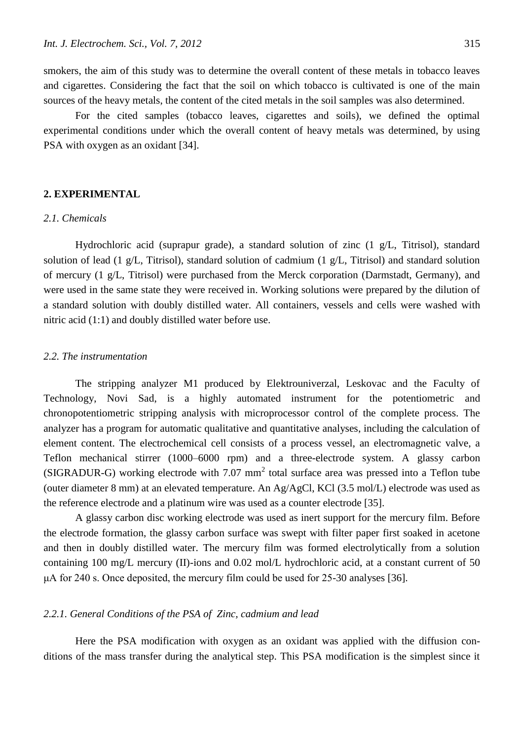smokers, the aim of this study was to determine the overall content of these metals in tobacco leaves and cigarettes. Considering the fact that the soil on which tobacco is cultivated is one of the main sources of the heavy metals, the content of the cited metals in the soil samples was also determined.

For the cited samples (tobacco leaves, cigarettes and soils), we defined the optimal experimental conditions under which the overall content of heavy metals was determined, by using PSA with oxygen as an oxidant [34].

#### **2. EXPERIMENTAL**

# *2.1. Chemicals*

Hydrochloric acid (suprapur grade), a standard solution of zinc (1 g/L, Titrisol), standard solution of lead (1 g/L, Titrisol), standard solution of cadmium (1 g/L, Titrisol) and standard solution of mercury (1 g/L, Titrisol) were purchased from the Merck corporation (Darmstadt, Germany), and were used in the same state they were received in. Working solutions were prepared by the dilution of a standard solution with doubly distilled water. All containers, vessels and cells were washed with nitric acid (1:1) and doubly distilled water before use.

## *2.2. The instrumentation*

The stripping analyzer M1 produced by Elektrouniverzal, Leskovac and the Faculty of Technology, Novi Sad, is a highly automated instrument for the potentiometric and chronopotentiometric stripping analysis with microprocessor control of the complete process. The analyzer has a program for automatic qualitative and quantitative analyses, including the calculation of element content. The electrochemical cell consists of a process vessel, an electromagnetic valve, a Teflon mechanical stirrer (1000–6000 rpm) and a three-electrode system. A glassy carbon (SIGRADUR-G) working electrode with  $7.07 \text{ mm}^2$  total surface area was pressed into a Teflon tube (outer diameter 8 mm) at an elevated temperature. An Ag/AgCl, KCl (3.5 mol/L) electrode was used as the reference electrode and a platinum wire was used as a counter electrode [35].

A glassy carbon disc working electrode was used as inert support for the mercury film. Before the electrode formation, the glassy carbon surface was swept with filter paper first soaked in acetone and then in doubly distilled water. The mercury film was formed electrolytically from a solution containing 100 mg/L mercury (II)-ions and 0.02 mol/L hydrochloric acid, at a constant current of 50 μA for 240 s. Once deposited, the mercury film could be used for 25-30 analyses [36].

## *2.2.1. General Conditions of the PSA of Zinc, cadmium and lead*

Here the PSA modification with oxygen as an oxidant was applied with the diffusion conditions of the mass transfer during the analytical step. This PSA modification is the simplest since it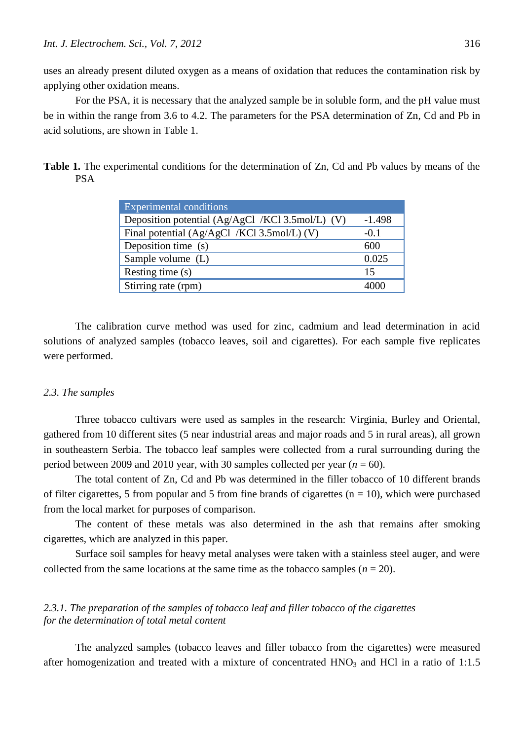uses an already present diluted oxygen as a means of oxidation that reduces the contamination risk by applying other oxidation means.

For the PSA, it is necessary that the analyzed sample be in soluble form, and the pH value must be in within the range from 3.6 to 4.2. The parameters for the PSA determination of Zn, Cd and Pb in acid solutions, are shown in Table 1.

| Table 1. The experimental conditions for the determination of Zn, Cd and Pb values by means of the |  |  |  |  |
|----------------------------------------------------------------------------------------------------|--|--|--|--|
| <b>PSA</b>                                                                                         |  |  |  |  |

| <b>Experimental conditions</b>                   |          |
|--------------------------------------------------|----------|
| Deposition potential (Ag/AgCl /KCl 3.5mol/L) (V) | $-1.498$ |
| Final potential (Ag/AgCl /KCl 3.5mol/L) (V)      | $-0.1$   |
| Deposition time (s)                              | 600      |
| Sample volume (L)                                | 0.025    |
| Resting time (s)                                 | 15       |
| Stirring rate (rpm)                              |          |

The calibration curve method was used for zinc, cadmium and lead determination in acid solutions of analyzed samples (tobacco leaves, soil and cigarettes). For each sample five replicates were performed.

## *2.3. The samples*

Three tobacco cultivars were used as samples in the research: Virginia, Burley and Oriental, gathered from 10 different sites (5 near industrial areas and major roads and 5 in rural areas), all grown in southeastern Serbia. The tobacco leaf samples were collected from a rural surrounding during the period between 2009 and 2010 year, with 30 samples collected per year  $(n = 60)$ .

The total content of Zn, Cd and Pb was determined in the filler tobacco of 10 different brands of filter cigarettes, 5 from popular and 5 from fine brands of cigarettes  $(n = 10)$ , which were purchased from the local market for purposes of comparison.

The content of these metals was also determined in the ash that remains after smoking cigarettes, which are analyzed in this paper.

Surface soil samples for heavy metal analyses were taken with a stainless steel auger, and were collected from the same locations at the same time as the tobacco samples  $(n = 20)$ .

# *2.3.1. The preparation of the samples of tobacco leaf and filler tobacco of the cigarettes for the determination of total metal content*

The analyzed samples (tobacco leaves and filler tobacco from the cigarettes) were measured after homogenization and treated with a mixture of concentrated  $HNO<sub>3</sub>$  and  $HCl$  in a ratio of 1:1.5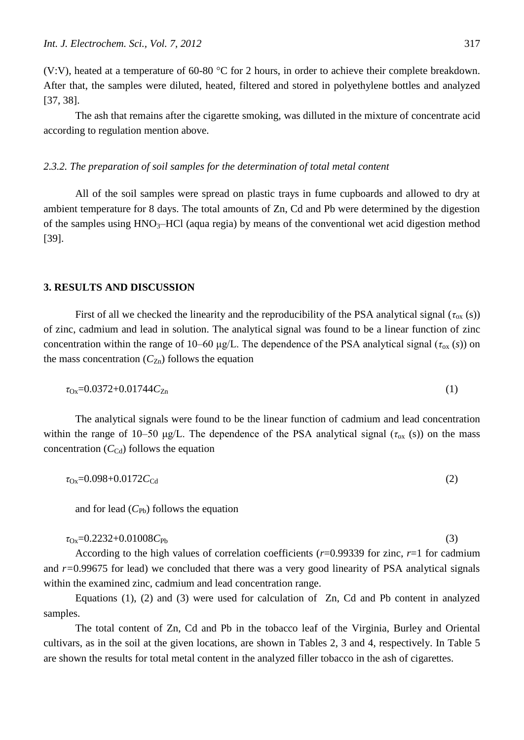(V:V), heated at a temperature of 60-80  $\degree$ C for 2 hours, in order to achieve their complete breakdown. After that, the samples were diluted, heated, filtered and stored in polyethylene bottles and analyzed [37, 38].

The ash that remains after the cigarette smoking, was dilluted in the mixture of concentrate acid according to regulation mention above.

#### *2.3.2. The preparation of soil samples for the determination of total metal content*

All of the soil samples were spread on plastic trays in fume cupboards and allowed to dry at ambient temperature for 8 days. The total amounts of Zn, Cd and Pb were determined by the digestion of the samples using  $HNO<sub>3</sub>-HCl$  (aqua regia) by means of the conventional wet acid digestion method [39].

## **3. RESULTS AND DISCUSSION**

First of all we checked the linearity and the reproducibility of the PSA analytical signal ( $\tau_{ox}$  (s)) of zinc, cadmium and lead in solution. The analytical signal was found to be a linear function of zinc concentration within the range of 10–60  $\mu$ g/L. The dependence of the PSA analytical signal ( $\tau_{ox}$  (*s*)) on the mass concentration  $(C_{Zn})$  follows the equation

$$
\tau_{\rm Ox} = 0.0372 + 0.01744 C_{\rm Zn} \tag{1}
$$

The analytical signals were found to be the linear function of cadmium and lead concentration within the range of 10–50 μg/L. The dependence of the PSA analytical signal  $(\tau_{ox}$  (s)) on the mass concentration  $(C_{\text{Cd}})$  follows the equation

$$
\tau_{\rm Ox} = 0.098 + 0.0172 C_{\rm Cd} \tag{2}
$$

and for lead  $(C_{\text{Ph}})$  follows the equation

 $\tau_{Ox} = 0.2232 + 0.01008 C_{Pb}$  (3)

According to the high values of correlation coefficients ( $r=0.99339$  for zinc,  $r=1$  for cadmium and *r=*0.99675 for lead) we concluded that there was a very good linearity of PSA analytical signals within the examined zinc, cadmium and lead concentration range.

Equations (1), (2) and (3) were used for calculation of Zn, Cd and Pb content in analyzed samples.

The total content of Zn, Cd and Pb in the tobacco leaf of the Virginia, Burley and Oriental cultivars, as in the soil at the given locations, are shown in Tables 2, 3 and 4, respectively. In Table 5 are shown the results for total metal content in the analyzed filler tobacco in the ash of cigarettes.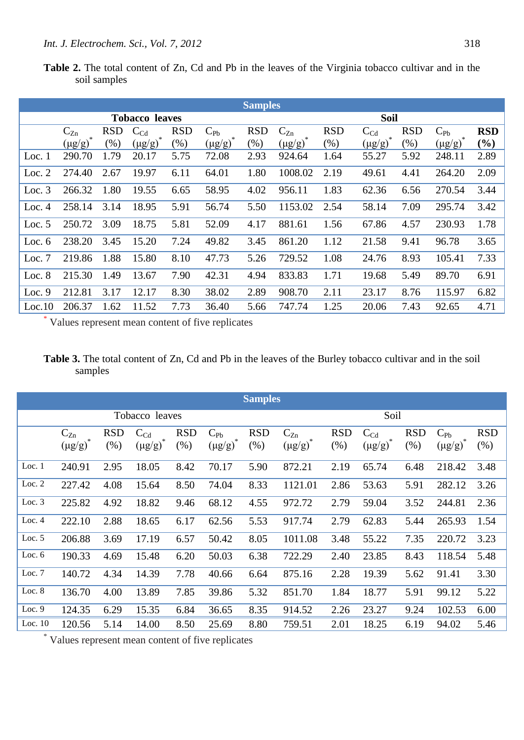**Table 2.** The total content of Zn, Cd and Pb in the leaves of the Virginia tobacco cultivar and in the soil samples

| <b>Samples</b>        |             |            |                 |            |             |            |             |            |             |            |                                 |            |
|-----------------------|-------------|------------|-----------------|------------|-------------|------------|-------------|------------|-------------|------------|---------------------------------|------------|
| <b>Tobacco</b> leaves |             |            |                 |            |             |            |             |            | Soil        |            |                                 |            |
|                       | $C_{Zn}$    | <b>RSD</b> | $C_{\text{Cd}}$ | <b>RSD</b> | $C_{Pb}$    | <b>RSD</b> | $C_{Zn}$    | <b>RSD</b> | $C_{Cd}$    | <b>RSD</b> | $C_{Pb}$                        | <b>RSD</b> |
|                       | $(\mu g/g)$ | (%)        | $(\mu g/g)$     | (% )       | $(\mu g/g)$ | $(\%)$     | $(\mu g/g)$ | $(\%)$     | $(\mu g/g)$ | $(\%)$     | $(\mu\text{g}/\text{g})^\gamma$ | (%)        |
| Loc. $1$              | 290.70      | 1.79       | 20.17           | 5.75       | 72.08       | 2.93       | 924.64      | 1.64       | 55.27       | 5.92       | 248.11                          | 2.89       |
| Loc. $2$              | 274.40      | 2.67       | 19.97           | 6.11       | 64.01       | 1.80       | 1008.02     | 2.19       | 49.61       | 4.41       | 264.20                          | 2.09       |
| Loc. $3$              | 266.32      | 1.80       | 19.55           | 6.65       | 58.95       | 4.02       | 956.11      | 1.83       | 62.36       | 6.56       | 270.54                          | 3.44       |
| Loc. $4$              | 258.14      | 3.14       | 18.95           | 5.91       | 56.74       | 5.50       | 1153.02     | 2.54       | 58.14       | 7.09       | 295.74                          | 3.42       |
| Loc. $5$              | 250.72      | 3.09       | 18.75           | 5.81       | 52.09       | 4.17       | 881.61      | 1.56       | 67.86       | 4.57       | 230.93                          | 1.78       |
| Loc. $6$              | 238.20      | 3.45       | 15.20           | 7.24       | 49.82       | 3.45       | 861.20      | 1.12       | 21.58       | 9.41       | 96.78                           | 3.65       |
| Loc. $7$              | 219.86      | 1.88       | 15.80           | 8.10       | 47.73       | 5.26       | 729.52      | 1.08       | 24.76       | 8.93       | 105.41                          | 7.33       |
| Loc. $8$              | 215.30      | 1.49       | 13.67           | 7.90       | 42.31       | 4.94       | 833.83      | 1.71       | 19.68       | 5.49       | 89.70                           | 6.91       |
| Loc.9                 | 212.81      | 3.17       | 12.17           | 8.30       | 38.02       | 2.89       | 908.70      | 2.11       | 23.17       | 8.76       | 115.97                          | 6.82       |
| Loc.10                | 206.37      | 1.62       | 11.52           | 7.73       | 36.40       | 5.66       | 747.74      | 1.25       | 20.06       | 7.43       | 92.65                           | 4.71       |

\* Values represent mean content of five replicates

**Table 3.** The total content of Zn, Cd and Pb in the leaves of the Burley tobacco cultivar and in the soil samples

| <b>Samples</b> |                         |                    |                                         |                      |                         |                      |                         |                    |                         |                      |                         |                      |
|----------------|-------------------------|--------------------|-----------------------------------------|----------------------|-------------------------|----------------------|-------------------------|--------------------|-------------------------|----------------------|-------------------------|----------------------|
|                |                         |                    | Tobacco leaves                          |                      |                         |                      | Soil                    |                    |                         |                      |                         |                      |
|                | $C_{Zn}$<br>$(\mu g/g)$ | <b>RSD</b><br>(% ) | $C_{\text{Cd}}$<br>$(\mu g/g)^{\gamma}$ | <b>RSD</b><br>$(\%)$ | $C_{Pb}$<br>$(\mu g/g)$ | <b>RSD</b><br>$(\%)$ | $C_{Zn}$<br>$(\mu g/g)$ | <b>RSD</b><br>(% ) | $C_{Cd}$<br>$(\mu g/g)$ | <b>RSD</b><br>$(\%)$ | $C_{Pb}$<br>$(\mu g/g)$ | <b>RSD</b><br>$(\%)$ |
| Loc. $1$       | 240.91                  | 2.95               | 18.05                                   | 8.42                 | 70.17                   | 5.90                 | 872.21                  | 2.19               | 65.74                   | 6.48                 | 218.42                  | 3.48                 |
| Loc. 2         | 227.42                  | 4.08               | 15.64                                   | 8.50                 | 74.04                   | 8.33                 | 1121.01                 | 2.86               | 53.63                   | 5.91                 | 282.12                  | 3.26                 |
| Loc. 3         | 225.82                  | 4.92               | 18.82                                   | 9.46                 | 68.12                   | 4.55                 | 972.72                  | 2.79               | 59.04                   | 3.52                 | 244.81                  | 2.36                 |
| Loc. $4$       | 222.10                  | 2.88               | 18.65                                   | 6.17                 | 62.56                   | 5.53                 | 917.74                  | 2.79               | 62.83                   | 5.44                 | 265.93                  | 1.54                 |
| Loc. $5$       | 206.88                  | 3.69               | 17.19                                   | 6.57                 | 50.42                   | 8.05                 | 1011.08                 | 3.48               | 55.22                   | 7.35                 | 220.72                  | 3.23                 |
| Loc. 6         | 190.33                  | 4.69               | 15.48                                   | 6.20                 | 50.03                   | 6.38                 | 722.29                  | 2.40               | 23.85                   | 8.43                 | 118.54                  | 5.48                 |
| Loc. 7         | 140.72                  | 4.34               | 14.39                                   | 7.78                 | 40.66                   | 6.64                 | 875.16                  | 2.28               | 19.39                   | 5.62                 | 91.41                   | 3.30                 |
| Loc. $8$       | 136.70                  | 4.00               | 13.89                                   | 7.85                 | 39.86                   | 5.32                 | 851.70                  | 1.84               | 18.77                   | 5.91                 | 99.12                   | 5.22                 |
| Loc. $9$       | 124.35                  | 6.29               | 15.35                                   | 6.84                 | 36.65                   | 8.35                 | 914.52                  | 2.26               | 23.27                   | 9.24                 | 102.53                  | 6.00                 |
| Loc. $10$      | 120.56                  | 5.14               | 14.00                                   | 8.50                 | 25.69                   | 8.80                 | 759.51                  | 2.01               | 18.25                   | 6.19                 | 94.02                   | 5.46                 |

\* Values represent mean content of five replicates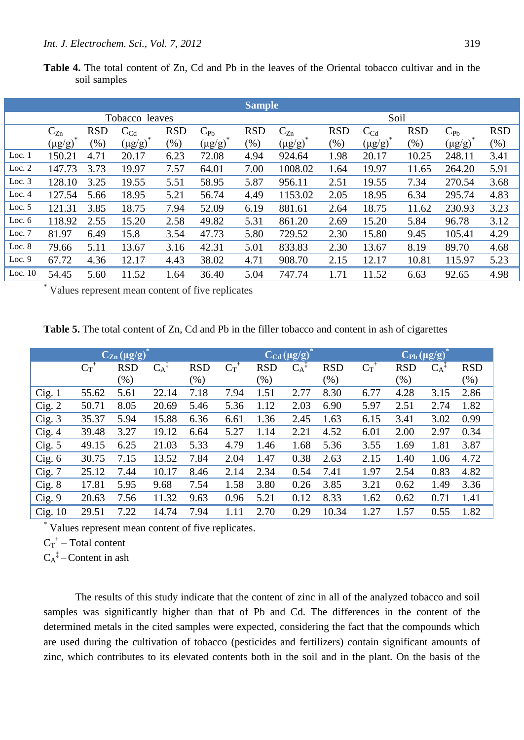|          |               |            |                   |            |                     | <b>Sample</b> |               |            |                 |            |                            |            |  |
|----------|---------------|------------|-------------------|------------|---------------------|---------------|---------------|------------|-----------------|------------|----------------------------|------------|--|
|          |               |            | Tobacco leaves    |            |                     |               | Soil          |            |                 |            |                            |            |  |
|          | $C_{Zn}$      | <b>RSD</b> | $\mathrm{C_{Cd}}$ | <b>RSD</b> | $C_{Pb}$            | <b>RSD</b>    | $C_{Zn}$      | <b>RSD</b> | $C_{\text{Cd}}$ | <b>RSD</b> | $C_{Pb}$                   | <b>RSD</b> |  |
|          | $(\mu g/g)^2$ | (% )       | $(\mu g/g)$       | $(\%)$     | $(\mu\text{g/g})^2$ | $(\%)$        | $(\mu g/g)^2$ | $(\%)$     | $(\mu g/g)^2$   | $(\%)$     | $(\mu\text{g}/\text{g})^2$ | $(\%)$     |  |
| Loc. $1$ | 150.21        | 4.71       | 20.17             | 6.23       | 72.08               | 4.94          | 924.64        | 1.98       | 20.17           | 10.25      | 248.11                     | 3.41       |  |
| Loc. $2$ | 147.73        | 3.73       | 19.97             | 7.57       | 64.01               | 7.00          | 1008.02       | 1.64       | 19.97           | 11.65      | 264.20                     | 5.91       |  |
| Loc. $3$ | 128.10        | 3.25       | 19.55             | 5.51       | 58.95               | 5.87          | 956.11        | 2.51       | 19.55           | 7.34       | 270.54                     | 3.68       |  |
| Loc. 4   | 127.54        | 5.66       | 18.95             | 5.21       | 56.74               | 4.49          | 1153.02       | 2.05       | 18.95           | 6.34       | 295.74                     | 4.83       |  |
| Loc. $5$ | 121.31        | 3.85       | 18.75             | 7.94       | 52.09               | 6.19          | 881.61        | 2.64       | 18.75           | 11.62      | 230.93                     | 3.23       |  |
| Loc. $6$ | 118.92        | 2.55       | 15.20             | 2.58       | 49.82               | 5.31          | 861.20        | 2.69       | 15.20           | 5.84       | 96.78                      | 3.12       |  |
| Loc. $7$ | 81.97         | 6.49       | 15.8              | 3.54       | 47.73               | 5.80          | 729.52        | 2.30       | 15.80           | 9.45       | 105.41                     | 4.29       |  |
| Loc. 8   | 79.66         | 5.11       | 13.67             | 3.16       | 42.31               | 5.01          | 833.83        | 2.30       | 13.67           | 8.19       | 89.70                      | 4.68       |  |
| Loc. $9$ | 67.72         | 4.36       | 12.17             | 4.43       | 38.02               | 4.71          | 908.70        | 2.15       | 12.17           | 10.81      | 115.97                     | 5.23       |  |
| Loc. 10  | 54.45         | 5.60       | 11.52             | 1.64       | 36.40               | 5.04          | 747.74        | 1.71       | 11.52           | 6.63       | 92.65                      | 4.98       |  |

**Table 4.** The total content of Zn, Cd and Pb in the leaves of the Oriental tobacco cultivar and in the soil samples

\* Values represent mean content of five replicates

Table 5. The total content of Zn, Cd and Pb in the filler tobacco and content in ash of cigarettes

|         | $C_{Zn}(\mu g/g)$ |            |                  |            |         | $\overline{C_{\text{Cd}}\left(\mu g/g\right)}$ |               |            |         | $C_{Pb}(\mu g/g)$ |                  |            |  |
|---------|-------------------|------------|------------------|------------|---------|------------------------------------------------|---------------|------------|---------|-------------------|------------------|------------|--|
|         | $C_T^+$           | <b>RSD</b> | $C_A^{\ddagger}$ | <b>RSD</b> | $C_T^+$ | <b>RSD</b>                                     | $C_A^{\{1\}}$ | <b>RSD</b> | $C_T^+$ | <b>RSD</b>        | $C_A^{\ddagger}$ | <b>RSD</b> |  |
|         |                   | $(\%)$     |                  | $(\%)$     |         | $(\%)$                                         |               | $(\%)$     |         | (% )              |                  | $(\%)$     |  |
| Cig.1   | 55.62             | 5.61       | 22.14            | 7.18       | 7.94    | 1.51                                           | 2.77          | 8.30       | 6.77    | 4.28              | 3.15             | 2.86       |  |
| Cig. 2  | 50.71             | 8.05       | 20.69            | 5.46       | 5.36    | 1.12                                           | 2.03          | 6.90       | 5.97    | 2.51              | 2.74             | 1.82       |  |
| Cig. 3  | 35.37             | 5.94       | 15.88            | 6.36       | 6.61    | 1.36                                           | 2.45          | 1.63       | 6.15    | 3.41              | 3.02             | 0.99       |  |
| Cig. 4  | 39.48             | 3.27       | 19.12            | 6.64       | 5.27    | 1.14                                           | 2.21          | 4.52       | 6.01    | 2.00              | 2.97             | 0.34       |  |
| Cig. 5  | 49.15             | 6.25       | 21.03            | 5.33       | 4.79    | 1.46                                           | 1.68          | 5.36       | 3.55    | 1.69              | 1.81             | 3.87       |  |
| Cig. 6  | 30.75             | 7.15       | 13.52            | 7.84       | 2.04    | 1.47                                           | 0.38          | 2.63       | 2.15    | 1.40              | 1.06             | 4.72       |  |
| Cig. 7  | 25.12             | 7.44       | 10.17            | 8.46       | 2.14    | 2.34                                           | 0.54          | 7.41       | 1.97    | 2.54              | 0.83             | 4.82       |  |
| Cig. 8  | 17.81             | 5.95       | 9.68             | 7.54       | 1.58    | 3.80                                           | 0.26          | 3.85       | 3.21    | 0.62              | 1.49             | 3.36       |  |
| Cig.9   | 20.63             | 7.56       | 11.32            | 9.63       | 0.96    | 5.21                                           | 0.12          | 8.33       | 1.62    | 0.62              | 0.71             | 1.41       |  |
| Cig. 10 | 29.51             | 7.22       | 14.74            | 7.94       | 1.11    | 2.70                                           | 0.29          | 10.34      | 1.27    | 1.57              | 0.55             | 1.82       |  |

\* Values represent mean content of five replicates.

 $C_T^+$  – Total content

 $C_A^{\ddagger}$  – Content in ash

The results of this study indicate that the content of zinc in all of the analyzed tobacco and soil samples was significantly higher than that of Pb and Cd. The differences in the content of the determined metals in the cited samples were expected, considering the fact that the compounds which are used during the cultivation of tobacco (pesticides and fertilizers) contain significant amounts of zinc, which contributes to its elevated contents both in the soil and in the plant. On the basis of the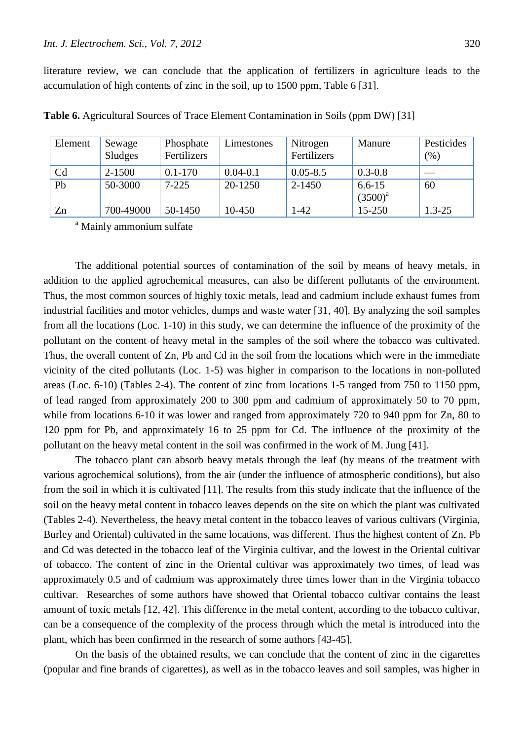literature review, we can conclude that the application of fertilizers in agriculture leads to the accumulation of high contents of zinc in the soil, up to 1500 ppm, Table 6 [31].

| Element        | Sewage<br>Sludges | Phosphate<br>Fertilizers | Limestones   | Nitrogen<br>Fertilizers | Manure                     | Pesticides<br>(%) |
|----------------|-------------------|--------------------------|--------------|-------------------------|----------------------------|-------------------|
| C <sub>d</sub> | 2-1500            | $0.1 - 170$              | $0.04 - 0.1$ | $0.05 - 8.5$            | $0.3 - 0.8$                |                   |
| Pb             | 50-3000           | $7 - 225$                | 20-1250      | $2 - 1450$              | $6.6 - 15$<br>$(3500)^{a}$ | 60                |
| Zn             | 700-49000         | 50-1450                  | 10-450       | $1 - 42$                | 15-250                     | $1.3 - 25$        |

**Table 6.** Agricultural Sources of Trace Element Contamination in Soils (ppm DW) [31]

<sup>a</sup> Mainly ammonium sulfate

The additional potential sources of contamination of the soil by means of heavy metals, in addition to the applied agrochemical measures, can also be different pollutants of the environment. Thus, the most common sources of highly toxic metals, lead and cadmium include exhaust fumes from industrial facilities and motor vehicles, dumps and waste water [31, 40]. By analyzing the soil samples from all the locations (Loc. 1-10) in this study, we can determine the influence of the proximity of the pollutant on the content of heavy metal in the samples of the soil where the tobacco was cultivated. Thus, the overall content of Zn, Pb and Cd in the soil from the locations which were in the immediate vicinity of the cited pollutants (Loc. 1-5) was higher in comparison to the locations in non-polluted areas (Loc. 6-10) (Tables 2-4). The content of zinc from locations 1-5 ranged from 750 to 1150 ppm, of lead ranged from approximately 200 to 300 ppm and cadmium of approximately 50 to 70 ppm, while from locations 6-10 it was lower and ranged from approximately 720 to 940 ppm for Zn, 80 to 120 ppm for Pb, and approximately 16 to 25 ppm for Cd. The influence of the proximity of the pollutant on the heavy metal content in the soil was confirmed in the work of M. Jung [41].

The tobacco plant can absorb heavy metals through the leaf (by means of the treatment with various agrochemical solutions), from the air (under the influence of atmospheric conditions), but also from the soil in which it is cultivated [11]. The results from this study indicate that the influence of the soil on the heavy metal content in tobacco leaves depends on the site on which the plant was cultivated (Tables 2-4). Nevertheless, the heavy metal content in the tobacco leaves of various cultivars (Virginia, Burley and Oriental) cultivated in the same locations, was different. Thus the highest content of Zn, Pb and Cd was detected in the tobacco leaf of the Virginia cultivar, and the lowest in the Oriental cultivar of tobacco. The content of zinc in the Oriental cultivar was approximately two times, of lead was approximately 0.5 and of cadmium was approximately three times lower than in the Virginia tobacco cultivar. Researches of some authors have showed that Oriental tobacco cultivar contains the least amount of toxic metals [12, 42]. This difference in the metal content, according to the tobacco cultivar, can be a consequence of the complexity of the process through which the metal is introduced into the plant, which has been confirmed in the research of some authors [43-45].

On the basis of the obtained results, we can conclude that the content of zinc in the cigarettes (popular and fine brands of cigarettes), as well as in the tobacco leaves and soil samples, was higher in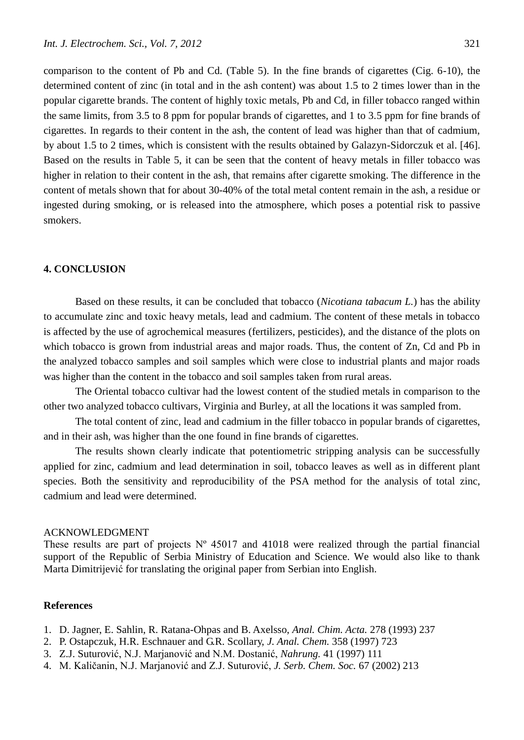comparison to the content of Pb and Cd. (Table 5). In the fine brands of cigarettes (Cig. 6-10), the determined content of zinc (in total and in the ash content) was about 1.5 to 2 times lower than in the popular cigarette brands. The content of highly toxic metals, Pb and Cd, in filler tobacco ranged within the same limits, from 3.5 to 8 ppm for popular brands of cigarettes, and 1 to 3.5 ppm for fine brands of cigarettes. In regards to their content in the ash, the content of lead was higher than that of cadmium, by about 1.5 to 2 times, which is consistent with the results obtained by Galazyn-Sidorczuk et al. [46]. Based on the results in Table 5, it can be seen that the content of heavy metals in filler tobacco was higher in relation to their content in the ash, that remains after cigarette smoking. The difference in the content of metals shown that for about 30-40% of the total metal content remain in the ash, a residue or ingested during smoking, or is released into the atmosphere, which poses a potential risk to passive smokers.

## **4. CONCLUSION**

Based on these results, it can be concluded that tobacco (*Nicotiana tabacum L.*) has the ability to accumulate zinc and toxic heavy metals, lead and cadmium. The content of these metals in tobacco is affected by the use of agrochemical measures (fertilizers, pesticides), and the distance of the plots on which tobacco is grown from industrial areas and major roads. Thus, the content of Zn, Cd and Pb in the analyzed tobacco samples and soil samples which were close to industrial plants and major roads was higher than the content in the tobacco and soil samples taken from rural areas.

The Oriental tobacco cultivar had the lowest content of the studied metals in comparison to the other two analyzed tobacco cultivars, Virginia and Burley, at all the locations it was sampled from.

The total content of zinc, lead and cadmium in the filler tobacco in popular brands of cigarettes, and in their ash, was higher than the one found in fine brands of cigarettes.

The results shown clearly indicate that potentiometric stripping analysis can be successfully applied for zinc, cadmium and lead determination in soil, tobacco leaves as well as in different plant species. Both the sensitivity and reproducibility of the PSA method for the analysis of total zinc, cadmium and lead were determined.

## ACKNOWLEDGMENT

These results are part of projects  $N^{\circ}$  45017 and 41018 were realized through the partial financial support of the Republic of Serbia Ministry of Education and Science. We would also like to thank Marta Dimitrijević for translating the original paper from Serbian into English.

## **References**

- 1. D. Jagner, E. Sahlin, R. Ratana-Ohpas and B. Axelsso, *Anal. Chim. Acta.* 278 (1993) 237
- 2. P. Ostapczuk, H.R. Eschnauer and G.R. Scollary, *J. Anal. Chem.* 358 (1997) 723
- 3. Z.J. Suturović, N.J. Marjanović and N.M. Dostanić, *Nahrung.* 41 (1997) 111
- 4. M. Kaličanin, N.J. Marjanović and Z.J. Suturović, *J. Serb. Chem. Soc.* 67 (2002) 213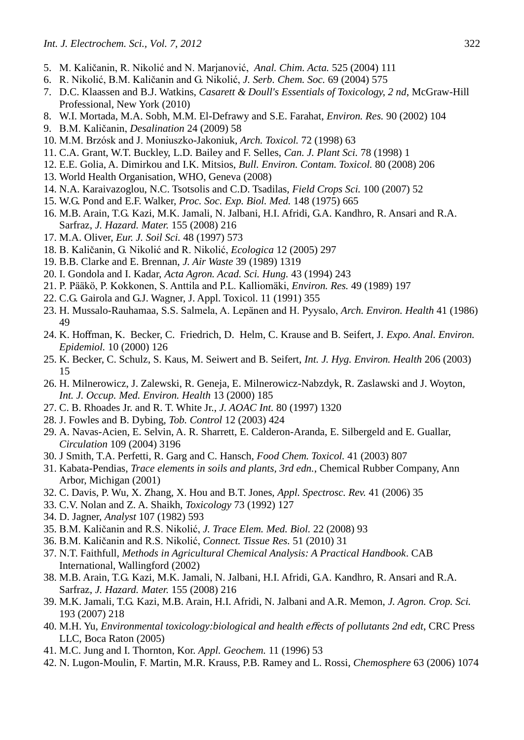- 5. M. Kaličanin, R. Nikolić and N. Marjanović, *Anal. Chim. Acta.* 525 (2004) 111
- 6. R. Nikolić, B.M. Kaličanin and G. Nikolić, *J. Serb. Chem. Soc.* 69 (2004) 575
- 7. D.C. Klaassen and B.J. Watkins, *Casarett & Doull's Essentials of Toxicology, 2 nd*, McGraw-Hill Professional, New York (2010)
- 8. W.I. Mortada, M.A. Sobh, M.M. El-Defrawy and S.E. Farahat, *Environ. Res.* 90 (2002) 104
- 9. B.M. Kaličanin, *Desalination* 24 (2009) 58
- 10. M.M. Brzósk and J. Moniuszko-Jakoniuk, *Arch. Toxicol.* 72 (1998) 63
- 11. C.A. Grant, W.T. Buckley, L.D. Bailey and F. Selles, *Can. J. Plant Sci.* 78 (1998) 1
- 12. E.E. Golia, A. Dimirkou and I.K. Mitsios, *Bull. Environ. Contam. Toxicol.* 80 (2008) 206
- 13. World Health Organisation, WHO, Geneva (2008)
- 14. N.A. Karaivazoglou, N.C. Tsotsolis and C.D. Tsadilas, *Field Crops Sci.* 100 (2007) 52
- 15. W.G. Pond and E.F. Walker, *Proc. Soc. Exp. Biol. Med.* 148 (1975) 665
- 16. M.B. Arain, T.G. Kazi, M.K. Jamali, N. Jalbani, H.I. Afridi, G.A. Kandhro, R. Ansari and R.A. Sarfraz, *J. Hazard. Mater.* 155 (2008) 216
- 17. M.A. Oliver, *Eur. J. Soil Sci.* 48 (1997) 573
- 18. B. Kaličanin, G. Nikolić and R. Nikolić, *Ecologica* 12 (2005) 297
- 19. B.B. Clarke and E. Brennan, *J. Air Waste* 39 (1989) 1319
- 20. I. Gondola and I. Kadar, *Acta Agron. Acad. Sci. Hung.* 43 (1994) 243
- 21. P. Pääkö, P. Kokkonen, S. Anttila and P.L. Kalliomäki, *Environ. Res.* 49 (1989) 197
- 22. C.G. Gairola and G.J. Wagner, J. Appl. Toxicol. 11 (1991) 355
- 23. H. Mussalo-Rauhamaa, S.S. Salmela, A. Lepänen and H. Pyysalo, *Arch. Environ. Health* 41 (1986) 49
- 24. K. Hoffman, K. Becker, C. Friedrich, D. Helm, C. Krause and B. Seifert, J*. Expo. Anal. Environ. Epidemiol.* 10 (2000) 126
- 25. K. Becker, C. Schulz, S. Kaus, M. Seiwert and B. Seifert, *Int. J. Hyg. Environ. Health* 206 (2003) 15
- 26. H. Milnerowicz, J. Zalewski, R. Geneja, E. Milnerowicz-Nabzdyk, R. Zaslawski and J. Woyton, *Int. J. Occup. Med. Environ. Health* 13 (2000) 185
- 27. C. B. Rhoades Jr. and R. T. White Jr., *J. AOAC Int.* 80 (1997) 1320
- 28. J. Fowles and B. Dybing, *Tob. Control* 12 (2003) 424
- 29. A. Navas-Acien, E. Selvin, A. R. Sharrett, E. Calderon-Aranda, E. Silbergeld and E. Guallar, *Circulation* 109 (2004) 3196
- 30. J Smith, T.A. Perfetti, R. Garg and C. Hansch, *Food Chem. Toxicol.* 41 (2003) 807
- 31. Kabata-Pendias, *Trace elements in soils and plants, 3rd edn.*, Chemical Rubber Company, Ann Arbor, Michigan (2001)
- 32. C. Davis, P. Wu, X. Zhang, X. Hou and B.T. Jones, *Appl. Spectrosc. Rev.* 41 (2006) 35
- 33. C.V. Nolan and Z. A. Shaikh, *Toxicology* 73 (1992) 127
- 34. D. Jagner, *Analyst* 107 (1982) 593
- 35. B.M. Kaličanin and R.S. Nikolić, *J. Trace Elem. Med. Biol.* 22 (2008) 93
- 36. B.M. Kaličanin and R.S. Nikolić, *Connect. Tissue Res.* 51 (2010) 31
- 37. N.T. Faithfull, *Methods in Agricultural Chemical Analysis: A Practical Handbook*. CAB International, Wallingford (2002)
- 38. M.B. Arain, T.G. Kazi, M.K. Jamali, N. Jalbani, H.I. Afridi, G.A. Kandhro, R. Ansari and R.A. Sarfraz, *J. Hazard. Mater.* 155 (2008) 216
- 39. M.K. Jamali, T.G. Kazi, M.B. Arain, H.I. Afridi, N. Jalbani and A.R. Memon, *J. Agron. Crop. Sci.* 193 (2007) 218
- 40. M.H. Yu, *Environmental toxicology:biological and health e*ff*ects of pollutants 2nd edt*, CRC Press LLC, Boca Raton (2005)
- 41. M.C. Jung and I. Thornton, Kor. *Appl. Geochem.* 11 (1996) 53
- 42. N. Lugon-Moulin, F. Martin, M.R. Krauss, P.B. Ramey and L. Rossi, *Chemosphere* 63 (2006) 1074